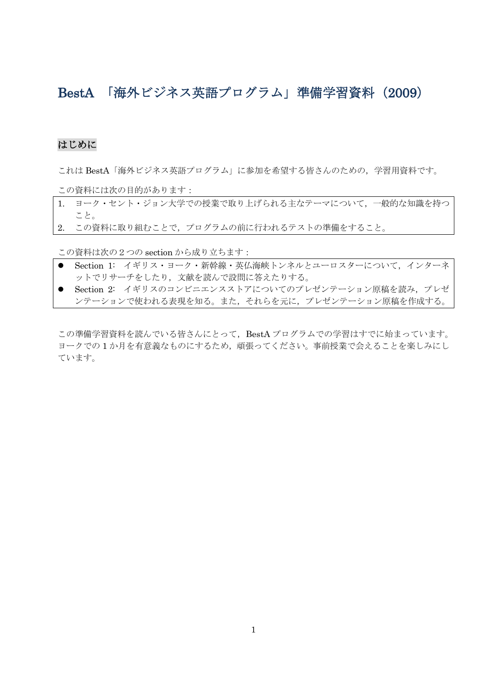# BestA 「海外ビジネス英語プログラム」準備学習資料(2009)

#### はじめに

これは BestA「海外ビジネス英語プログラム」に参加を希望する皆さんのための、学習用資料です。

この資料には次の目的があります:

- 1. ヨーク・セント・ジョン大学での授業で取り上げられる主なテーマについて,一般的な知識を持つ こと。
- 2. この資料に取り組むことで,プログラムの前に行われるテストの準備をすること。

この資料は次の2つの section から成り立ちます:

- Section 1: イギリス・ヨーク・新幹線・英仏海峡トンネルとユーロスターについて、インターネ ットでリサーチをしたり,文献を読んで設問に答えたりする。
- Section 2: イギリスのコンビニエンスストアについてのプレゼンテーション原稿を読み、プレゼ ンテーションで使われる表現を知る。また,それらを元に,プレゼンテーション原稿を作成する。

この準備学習資料を読んでいる皆さんにとって、BestA プログラムでの学習はすでに始まっています。 ヨークでの 1 か月を有意義なものにするため,頑張ってください。事前授業で会えることを楽しみにし ています。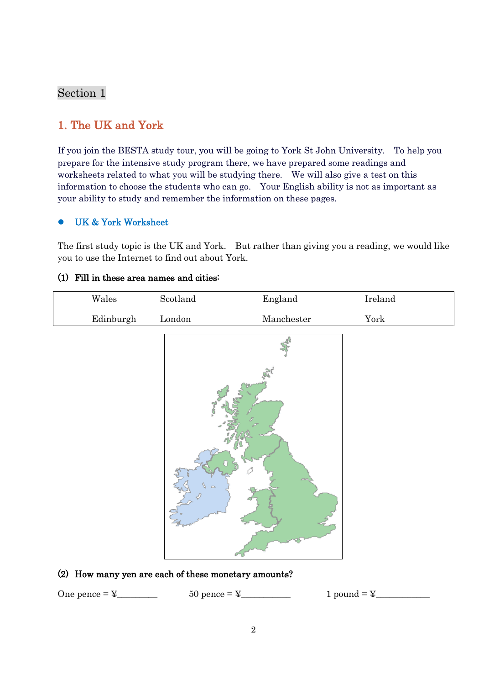# Section 1

# 1. The UK and York

If you join the BESTA study tour, you will be going to York St John University. To help you prepare for the intensive study program there, we have prepared some readings and worksheets related to what you will be studying there. We will also give a test on this information to choose the students who can go. Your English ability is not as important as your ability to study and remember the information on these pages.

#### UK & York Worksheet

The first study topic is the UK and York. But rather than giving you a reading, we would like you to use the Internet to find out about York.

#### (1) Fill in these area names and cities:

| $\rm Wales$ | $\operatorname{Scotland}$    | England                        | $\rm Ireland$ |
|-------------|------------------------------|--------------------------------|---------------|
| Edinburgh   | $\mathop{\hbox{\rm London}}$ | $\label{Lm:nonrel} Manchester$ | ${\tt York}$  |
|             | é                            |                                |               |

#### (2) How many yen are each of these monetary amounts?

One pence  $=\frac{y}{x}$  50 pence  $=\frac{y}{x}$  1 pound  $=\frac{y}{x}$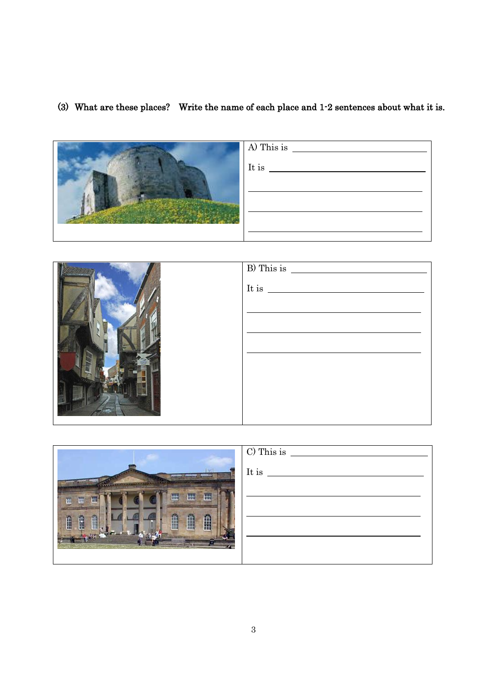# (3) What are these places? Write the name of each place and 1-2 sentences about what it is.

| A) This is |
|------------|
| It is      |
|            |
|            |
|            |
|            |

| $\overline{B}$ This is $\overline{\qquad \qquad }$ |
|----------------------------------------------------|
| It is                                              |
|                                                    |
|                                                    |
|                                                    |
|                                                    |
|                                                    |

|                                       | C) This is |
|---------------------------------------|------------|
| <b>MADISSI</b><br>mum                 | It is      |
| *******<br>en village                 |            |
| H<br>H<br>丗<br>世<br>础<br>丗            |            |
|                                       |            |
| Â<br>$\mathbf{r}$<br>Ê<br>l<br>Ĥ<br>Ĥ |            |
|                                       |            |
|                                       |            |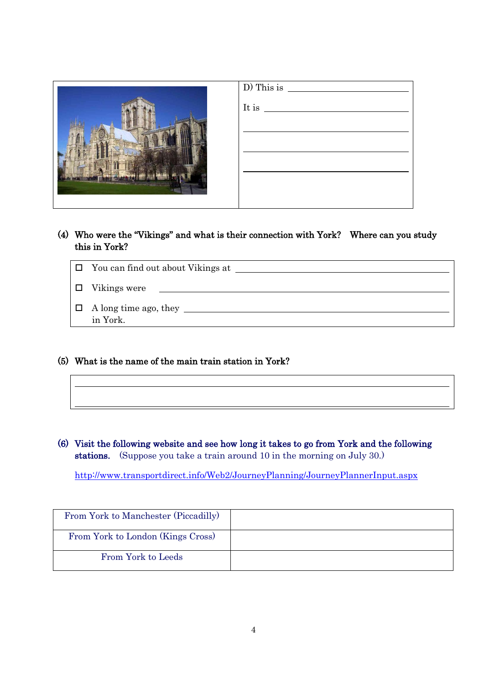

| D) This is            |  |  |
|-----------------------|--|--|
| It is $\qquad \qquad$ |  |  |
|                       |  |  |
|                       |  |  |
|                       |  |  |
|                       |  |  |
|                       |  |  |
|                       |  |  |

(4) Who were the "Vikings" and what is their connection with York? Where can you study this in York?

| $\Box$ You can find out about Vikings at |
|------------------------------------------|
| $\Box$ Vikings were                      |
| $\Box$ A long time ago, they<br>in York. |

(5) What is the name of the main train station in York?

 $\overline{a}$ 

 $\overline{a}$ 

(6) Visit the following website and see how long it takes to go from York and the following stations. (Suppose you take a train around 10 in the morning on July 30.)

<http://www.transportdirect.info/Web2/JourneyPlanning/JourneyPlannerInput.aspx>

| From York to Manchester (Piccadilly) |  |
|--------------------------------------|--|
| From York to London (Kings Cross)    |  |
| From York to Leeds                   |  |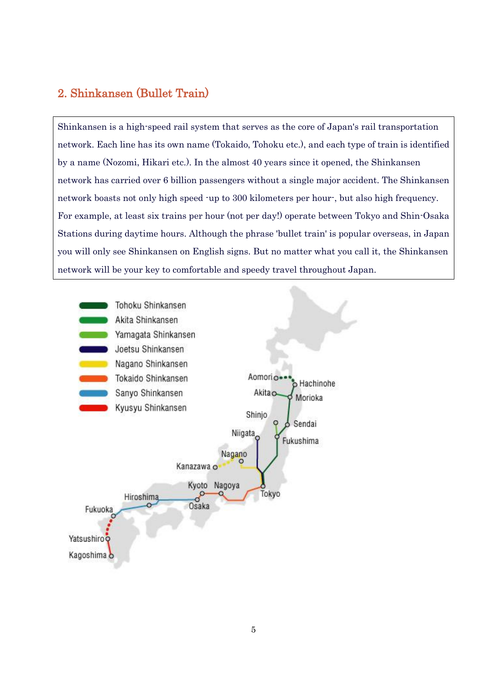# 2. Shinkansen (Bullet Train)

Shinkansen is a high-speed rail system that serves as the core of Japan's rail transportation network. Each line has its own name (Tokaido, Tohoku etc.), and each type of train is identified by a name (Nozomi, Hikari etc.). In the almost 40 years since it opened, the Shinkansen network has carried over 6 billion passengers without a single major accident. The Shinkansen network boasts not only high speed -up to 300 kilometers per hour-, but also high frequency. For example, at least six trains per hour (not per day!) operate between Tokyo and Shin-Osaka Stations during daytime hours. Although the phrase 'bullet train' is popular overseas, in Japan you will only see Shinkansen on English signs. But no matter what you call it, the Shinkansen network will be your key to comfortable and speedy travel throughout Japan.

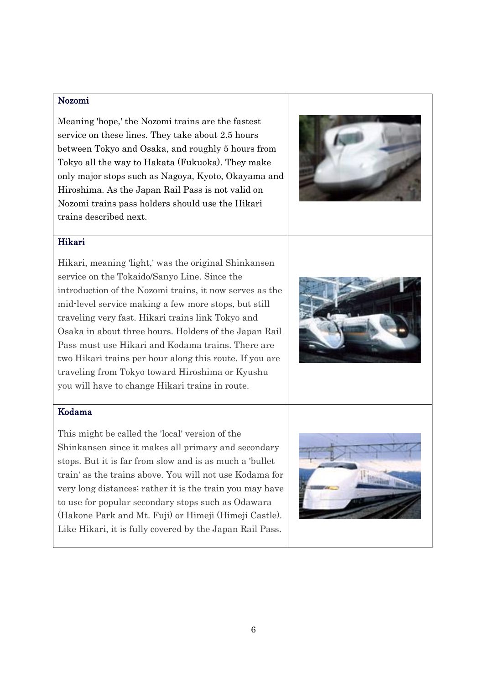#### Nozomi

Meaning 'hope,' the Nozomi trains are the fastest service on these lines. They take about 2.5 hours between Tokyo and Osaka, and roughly 5 hours from Tokyo all the way to Hakata (Fukuoka). They make only major stops such as Nagoya, Kyoto, Okayama and Hiroshima. As the Japan Rail Pass is not valid on Nozomi trains pass holders should use the Hikari trains described next.



#### Hikari

Hikari, meaning 'light,' was the original Shinkansen service on the Tokaido/Sanyo Line. Since the introduction of the Nozomi trains, it now serves as the mid-level service making a few more stops, but still traveling very fast. Hikari trains link Tokyo and Osaka in about three hours. Holders of the Japan Rail Pass must use Hikari and Kodama trains. There are two Hikari trains per hour along this route. If you are traveling from Tokyo toward Hiroshima or Kyushu you will have to change Hikari trains in route.



#### Kodama

This might be called the 'local' version of the Shinkansen since it makes all primary and secondary stops. But it is far from slow and is as much a 'bullet train' as the trains above. You will not use Kodama for very long distances; rather it is the train you may have to use for popular secondary stops such as Odawara (Hakone Park and Mt. Fuji) or Himeji (Himeji Castle). Like Hikari, it is fully covered by the Japan Rail Pass.

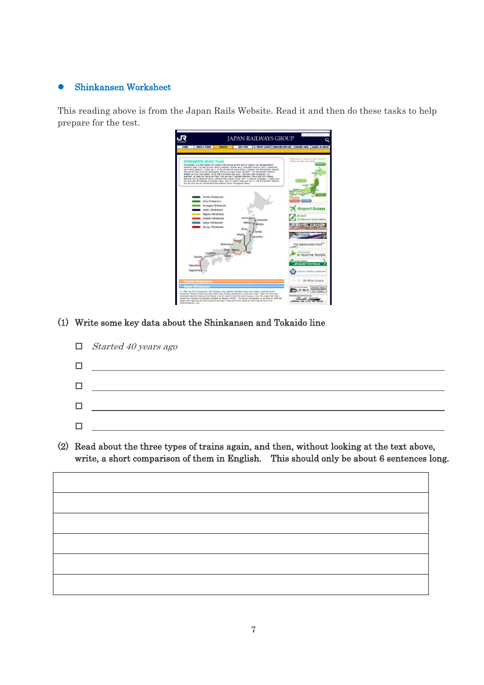#### Shinkansen Worksheet

This reading above is from the Japan Rails Website. Read it and then do these tasks to help prepare for the test.

|                     |                                                                                                                                                                                                                                                                                                                                                                                                                                                                                                                                                                                                                                                                                                                                                                                                                                                                                                                                                                                                            |                            |                                                   | <b>JAPAN RAILWAYS GROUP</b>                    |                                                                                                      | Southle" Coston Sweet                                   |
|---------------------|------------------------------------------------------------------------------------------------------------------------------------------------------------------------------------------------------------------------------------------------------------------------------------------------------------------------------------------------------------------------------------------------------------------------------------------------------------------------------------------------------------------------------------------------------------------------------------------------------------------------------------------------------------------------------------------------------------------------------------------------------------------------------------------------------------------------------------------------------------------------------------------------------------------------------------------------------------------------------------------------------------|----------------------------|---------------------------------------------------|------------------------------------------------|------------------------------------------------------------------------------------------------------|---------------------------------------------------------|
| HOME                | <b>TIMES &amp; FARES</b>                                                                                                                                                                                                                                                                                                                                                                                                                                                                                                                                                                                                                                                                                                                                                                                                                                                                                                                                                                                   | <b>TICKETS</b>             | <b>RAIL PASS</b>                                  | IC SMART CARDS TRAVELING WITH US TOURISM LINKS |                                                                                                      | <b>ABOUT JR GROUP</b>                                   |
|                     | <b>SHINKANSEN (Bullet Train)</b><br>Shinkansen is a high-speed rail system that serves as the core of Japan's rail transportation<br>network. Each line has its own name (Tokaido, Tohoku etc.), and each type of train is identified<br>by a name (Nozomi, Hikari etc.). In the almost 40 years since it opened, the Shinkansen network<br>has carried over 6 billion passengers without a single major accident. The Shinkansen network<br>boasts not only high speed -up to 300 kilometers per hour-, but also high frequency. For<br>example, at least six trains per hour (not per day!) operate between Tokyo and Shin-Osaka<br>Stations during daytime hours. Although the phrase 'bullet train' is popular overseas, in Japan you<br>will only see Shinkansen on English signs. But no matter what you call it, the Shinkansen network<br>will be your key to comfortable and speedy travel throughout Japan.<br>Tohoku Shinkansen<br>Akita Shinkansen<br>Yamagata Shinkansen<br>Joetsu Shinkansen |                            |                                                   |                                                | Yonitiaty upy ana negati to seess tarky<br>Select rail page into below.<br><b>SAKOVER</b><br>2496544 | <b>Airport Access</b>                                   |
|                     | Nagano Shinkansen<br>Tokaido Shinkansen<br>Sanyo Shinkansen<br>Kyusyu Shinkansen                                                                                                                                                                                                                                                                                                                                                                                                                                                                                                                                                                                                                                                                                                                                                                                                                                                                                                                           | Kanazawa o<br>Kyoto Nagoya | Aomoria+<br>Akitaio<br>Shinio<br>Nigata<br>Nagano | & Hachinohe<br>Morioka<br>Sendai<br>Fukushima  | <b>JR-EAST</b><br><b>JR HOTEL GROU</b><br>Rail Package<br>THE SHINKANSEN TOUR                        | Shinkansen Reservation                                  |
|                     | Hiroshima<br>Fukuoka<br><b>Yatsushiro</b><br>Kagoshima o<br><b>Tokaido Shinkansen</b>                                                                                                                                                                                                                                                                                                                                                                                                                                                                                                                                                                                                                                                                                                                                                                                                                                                                                                                      | Osaka                      | Tokyc                                             |                                                | <b>HOKKAIDO</b><br><b>ELECTRICAL FL</b><br><b>JR-EAST HOTELS</b><br>R-West Hotels                    | e-reserve hotels<br><b>ASSOCIA HOTELS &amp; RESORTS</b> |
| Tokaido/Sanyo Line. | <b>Sanyo Shinkansen</b><br>In 1964 the first Shinkansen, the Tokaido Line, opened between Tokyo and Osaka, paralleling the<br>renowned Tokaido Road that had linked Edo (Tokyo) and Kyoto in samural times. Later this line was<br>extended beyond Osaka as the Sanyo Line to reach Hiroshima and Fukuoka. Only the Japan Rail Pass<br>covers the Tokaido Shinkansen (except for Nozomi trains). The Sarvo Shinkansen is covered by both the<br>Japan Rail Pass and JR West Sanyo Area Pass. There are three types of trains operating on the                                                                                                                                                                                                                                                                                                                                                                                                                                                              |                            |                                                   |                                                | Safe and Comfortable!<br><b>JR BUS</b><br>International Jet Foil Service                             | from/to Tokyo<br>N.E. Honshu                            |

### (1) Write some key data about the Shinkansen and Tokaido line

| $\Box$ Started 40 years ago |
|-----------------------------|
|                             |
|                             |
|                             |
|                             |

(2) Read about the three types of trains again, and then, without looking at the text above, write, a short comparison of them in English. This should only be about 6 sentences long.

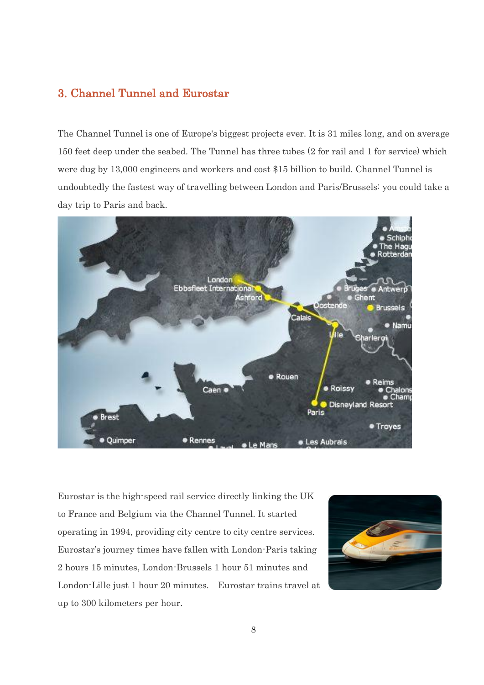# 3. Channel Tunnel and Eurostar

The Channel Tunnel is one of Europe's biggest projects ever. It is 31 miles long, and on average 150 feet deep under the seabed. The Tunnel has three tubes (2 for rail and 1 for service) which were dug by 13,000 engineers and workers and cost \$15 billion to build. Channel Tunnel is undoubtedly the fastest way of travelling between London and Paris/Brussels: you could take a day trip to Paris and back.



Eurostar is the high-speed rail service directly linking the UK to France and Belgium via the Channel Tunnel. It started operating in 1994, providing city centre to city centre services. Eurostar's journey times have fallen with London-Paris taking 2 hours 15 minutes, London-Brussels 1 hour 51 minutes and London-Lille just 1 hour 20 minutes. Eurostar trains travel at up to 300 kilometers per hour.

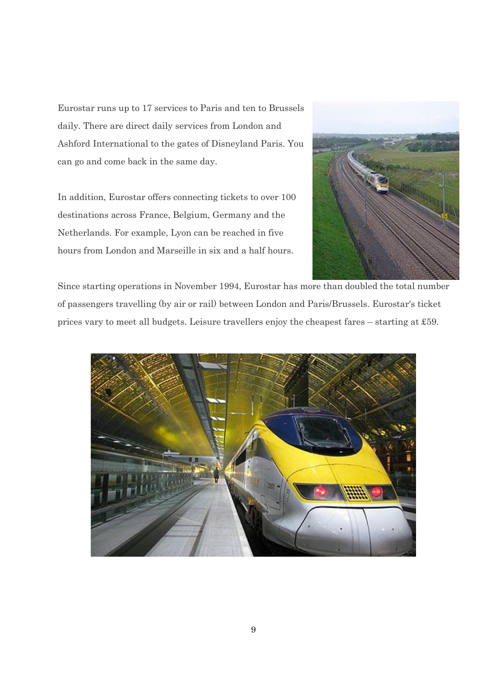Eurostar runs up to 17 services to Paris and ten to Brussels daily. There are direct daily services from London and Ashford International to the gates of Disneyland Paris. You can go and come back in the same day.

In addition, Eurostar offers connecting tickets to over 100 destinations across France, Belgium, Germany and the Netherlands. For example, Lyon can be reached in five hours from London and Marseille in six and a half hours.



Since starting operations in November 1994, Eurostar has more than doubled the total number of passengers travelling (by air or rail) between London and Paris/Brussels. Eurostar's ticket prices vary to meet all budgets. Leisure travellers enjoy the cheapest fares – starting at £59.

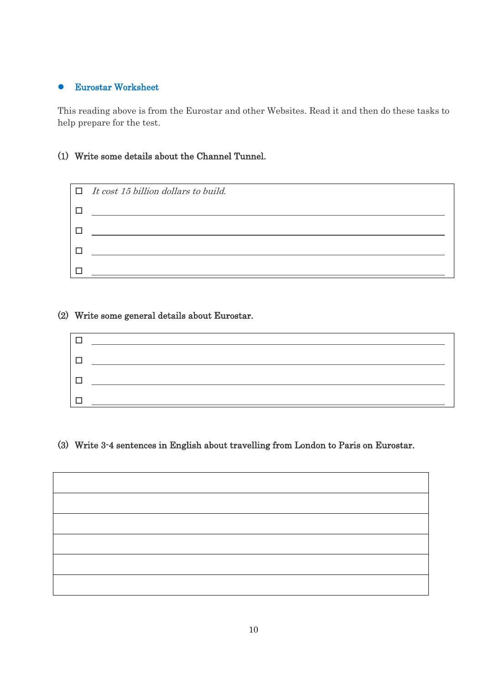#### Eurostar Worksheet

This reading above is from the Eurostar and other Websites. Read it and then do these tasks to help prepare for the test.

### (1) Write some details about the Channel Tunnel.



#### (2) Write some general details about Eurostar.



#### (3) Write 3-4 sentences in English about travelling from London to Paris on Eurostar.

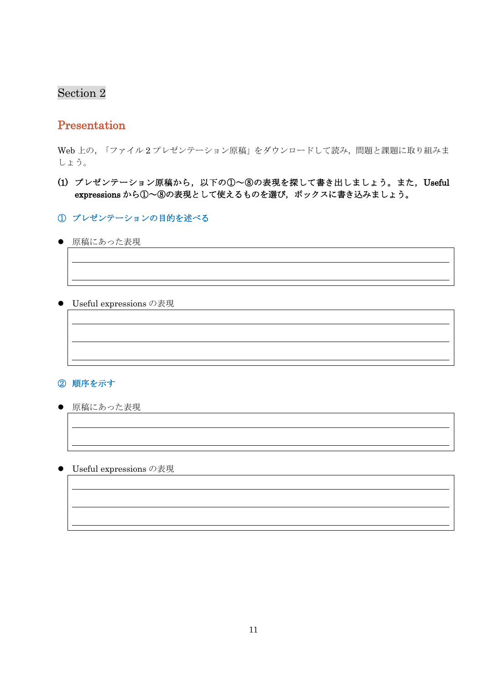# Section 2

# Presentation

Web 上の、「ファイル2プレゼンテーション原稿」をダウンロードして読み、問題と課題に取り組みま しょう。

### (1) プレゼンテーション原稿から,以下の①~⑧の表現を探して書き出しましょう。また,Useful expressions から①~8の表現として使えるものを選び、ボックスに書き込みましょう。

- ① プレゼンテーションの目的を述べる
- 原稿にあった表現

 $\overline{a}$ 

 $\overline{a}$ 

 $\overline{a}$ 

 $\overline{a}$ 

 $\overline{a}$ 

 $\overline{a}$ 

 $\overline{a}$ 

 $\overline{a}$ 

● Useful expressions の表現

#### ② 順序を示す

- 原稿にあった表現
- Useful expressions の表現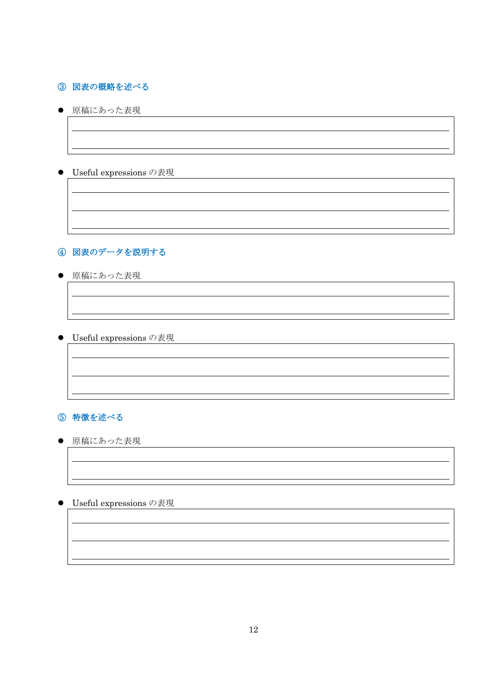### ③ 図表の概略を述べる

● 原稿にあった表現

 $\overline{a}$ 

 $\overline{a}$ 

 $\overline{a}$ 

 $\overline{a}$ 

 $\overline{a}$ 

 $\overline{a}$ 

 $\overline{a}$ 

 $\overline{a}$ 

 $\overline{a}$ 

 $\overline{a}$ 

 $\overline{a}$ 

 $\overline{a}$ 

#### ● Useful expressions の表現

# ④ 図表のデータを説明する

● 原稿にあった表現

● Useful expressions の表現

### ⑤ 特徴を述べる

● 原稿にあった表現

● Useful expressions の表現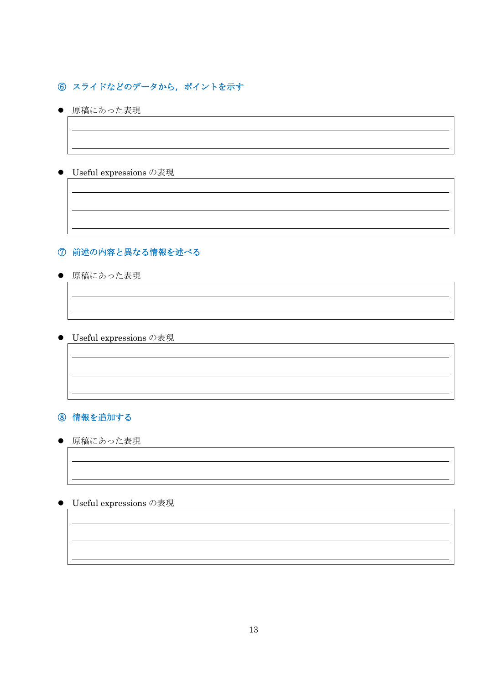## ⑥ スライドなどのデータから,ポイントを示す

● 原稿にあった表現

 $\overline{a}$ 

 $\overline{a}$ 

 $\overline{a}$ 

 $\overline{a}$ 

 $\overline{a}$ 

 $\overline{a}$ 

 $\overline{a}$ 

 $\overline{a}$ 

 $\overline{a}$ 

 $\overline{a}$ 

 $\overline{a}$ 

 $\overline{a}$ 

#### ● Useful expressions の表現

#### ⑦ 前述の内容と異なる情報を述べる

● 原稿にあった表現

● Useful expressions の表現

## ⑧ 情報を追加する

● 原稿にあった表現

● Useful expressions の表現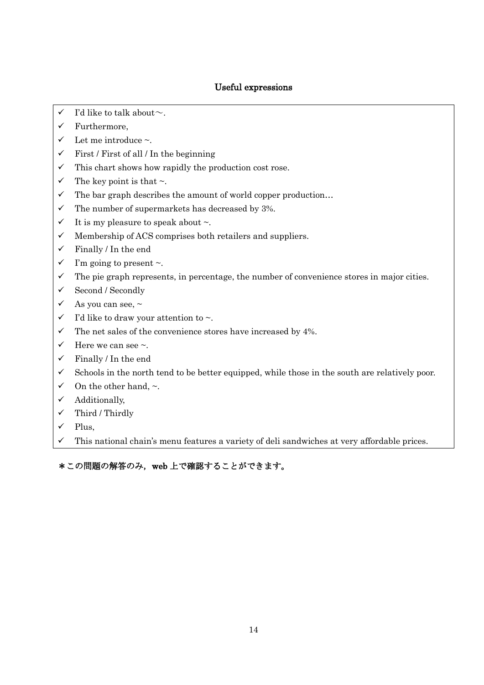#### Useful expressions

- $\checkmark$  I'd like to talk about  $\sim$ .
- $\checkmark$  Furthermore,
- $\checkmark$  Let me introduce ~.
- $\checkmark$  First / First of all / In the beginning
- $\checkmark$  This chart shows how rapidly the production cost rose.
- $\checkmark$  The key point is that  $\sim$ .
- $\checkmark$  The bar graph describes the amount of world copper production...
- $\checkmark$  The number of supermarkets has decreased by 3%.
- $\checkmark$  It is my pleasure to speak about  $\sim$ .
- $\checkmark$  Membership of ACS comprises both retailers and suppliers.
- $\checkmark$  Finally / In the end
- $\checkmark$  I'm going to present ~.
- $\checkmark$  The pie graph represents, in percentage, the number of convenience stores in major cities.
- $\checkmark$  Second / Secondly
- $\checkmark$  As you can see,  $\sim$
- $\checkmark$  I'd like to draw your attention to  $\sim$ .
- $\checkmark$  The net sales of the convenience stores have increased by 4%.
- $\checkmark$  Here we can see  $\sim$ .
- $\checkmark$  Finally / In the end
- $\checkmark$  Schools in the north tend to be better equipped, while those in the south are relatively poor.
- $\checkmark$  On the other hand,  $\sim$ .
- $\checkmark$  Additionally,
- $\checkmark$  Third / Thirdly
- $\checkmark$  Plus,
- This national chain's menu features a variety of deli sandwiches at very affordable prices.

\*この問題の解答のみ,web 上で確認することができます。